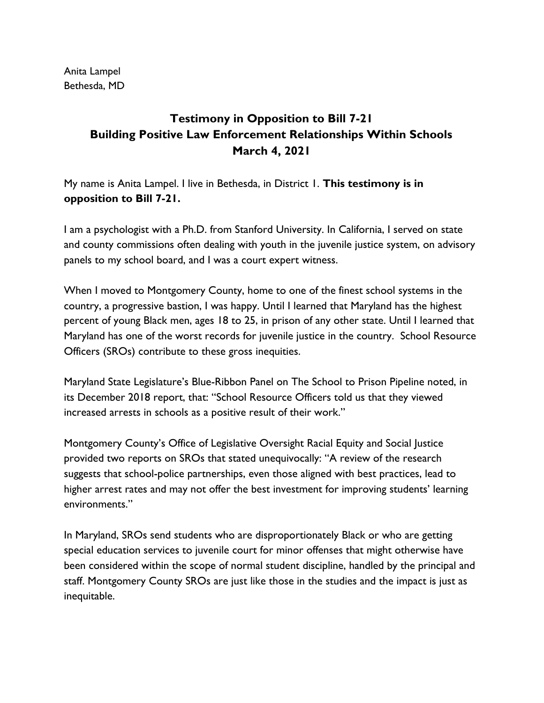Anita Lampel Bethesda, MD

## **Testimony in Opposition to Bill 7-21 Building Positive Law Enforcement Relationships Within Schools March 4, 2021**

My name is Anita Lampel. I live in Bethesda, in District 1. **This testimony is in opposition to Bill 7-21.**

I am a psychologist with a Ph.D. from Stanford University. In California, I served on state and county commissions often dealing with youth in the juvenile justice system, on advisory panels to my school board, and I was a court expert witness.

When I moved to Montgomery County, home to one of the finest school systems in the country, a progressive bastion, I was happy. Until I learned that Maryland has the highest percent of young Black men, ages 18 to 25, in prison of any other state. Until I learned that Maryland has one of the worst records for juvenile justice in the country. School Resource Officers (SROs) contribute to these gross inequities.

Maryland State Legislature's Blue-Ribbon Panel on The School to Prison Pipeline noted, in its December 2018 report, that: "School Resource Officers told us that they viewed increased arrests in schools as a positive result of their work."

Montgomery County's Office of Legislative Oversight Racial Equity and Social Justice provided two reports on SROs that stated unequivocally: "A review of the research suggests that school-police partnerships, even those aligned with best practices, lead to higher arrest rates and may not offer the best investment for improving students' learning environments."

In Maryland, SROs send students who are disproportionately Black or who are getting special education services to juvenile court for minor offenses that might otherwise have been considered within the scope of normal student discipline, handled by the principal and staff. Montgomery County SROs are just like those in the studies and the impact is just as inequitable.